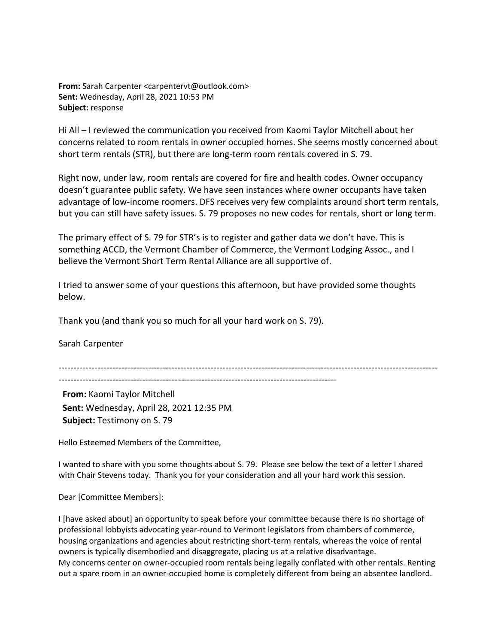**From:** Sarah Carpenter <carpentervt@outlook.com> **Sent:** Wednesday, April 28, 2021 10:53 PM **Subject:** response

Hi All – I reviewed the communication you received from Kaomi Taylor Mitchell about her concerns related to room rentals in owner occupied homes. She seems mostly concerned about short term rentals (STR), but there are long-term room rentals covered in S. 79.

Right now, under law, room rentals are covered for fire and health codes. Owner occupancy doesn't guarantee public safety. We have seen instances where owner occupants have taken advantage of low-income roomers. DFS receives very few complaints around short term rentals, but you can still have safety issues. S. 79 proposes no new codes for rentals, short or long term.

The primary effect of S. 79 for STR's is to register and gather data we don't have. This is something ACCD, the Vermont Chamber of Commerce, the Vermont Lodging Assoc., and I believe the Vermont Short Term Rental Alliance are all supportive of.

I tried to answer some of your questions this afternoon, but have provided some thoughts below.

Thank you (and thank you so much for all your hard work on S. 79).

Sarah Carpenter

-------------------------------------------------------------------------------------------------------------------------------

---------------------------------------------------------------------------------------------

**From:** Kaomi Taylor Mitchell **Sent:** Wednesday, April 28, 2021 12:35 PM **Subject:** Testimony on S. 79

Hello Esteemed Members of the Committee,

I wanted to share with you some thoughts about S. 79. Please see below the text of a letter I shared with Chair Stevens today. Thank you for your consideration and all your hard work this session.

Dear [Committee Members]:

I [have asked about] an opportunity to speak before your committee because there is no shortage of professional lobbyists advocating year-round to Vermont legislators from chambers of commerce, housing organizations and agencies about restricting short-term rentals, whereas the voice of rental owners is typically disembodied and disaggregate, placing us at a relative disadvantage. My concerns center on owner-occupied room rentals being legally conflated with other rentals. Renting out a spare room in an owner-occupied home is completely different from being an absentee landlord.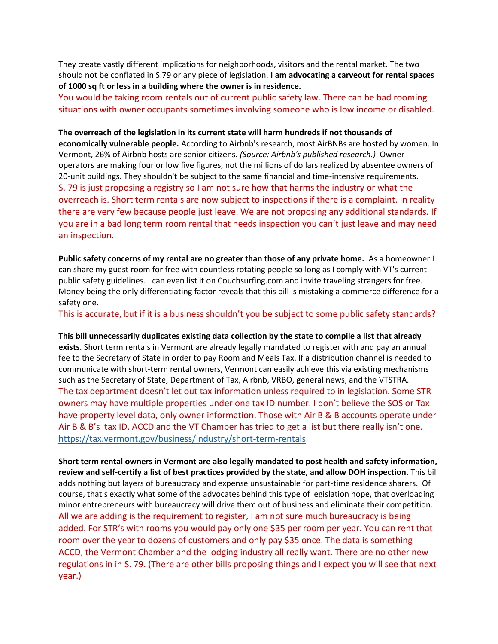They create vastly different implications for neighborhoods, visitors and the rental market. The two should not be conflated in S.79 or any piece of legislation. **I am advocating a carveout for rental spaces of 1000 sq ft or less in a building where the owner is in residence.** 

You would be taking room rentals out of current public safety law. There can be bad rooming situations with owner occupants sometimes involving someone who is low income or disabled.

**The overreach of the legislation in its current state will harm hundreds if not thousands of economically vulnerable people.** According to Airbnb's research, most AirBNBs are hosted by women. In Vermont, 26% of Airbnb hosts are senior citizens. *(Source: Airbnb's published research.)* Owneroperators are making four or low five figures, not the millions of dollars realized by absentee owners of 20-unit buildings. They shouldn't be subject to the same financial and time-intensive requirements. S. 79 is just proposing a registry so I am not sure how that harms the industry or what the overreach is. Short term rentals are now subject to inspections if there is a complaint. In reality there are very few because people just leave. We are not proposing any additional standards. If you are in a bad long term room rental that needs inspection you can't just leave and may need an inspection.

**Public safety concerns of my rental are no greater than those of any private home.** As a homeowner I can share my guest room for free with countless rotating people so long as I comply with VT's current public safety guidelines. I can even list it on Couchsurfing.com and invite traveling strangers for free. Money being the only differentiating factor reveals that this bill is mistaking a commerce difference for a safety one.

This is accurate, but if it is a business shouldn't you be subject to some public safety standards?

**This bill unnecessarily duplicates existing data collection by the state to compile a list that already exists**. Short term rentals in Vermont are already legally mandated to register with and pay an annual fee to the Secretary of State in order to pay Room and Meals Tax. If a distribution channel is needed to communicate with short-term rental owners, Vermont can easily achieve this via existing mechanisms such as the Secretary of State, Department of Tax, Airbnb, VRBO, general news, and the VTSTRA. The tax department doesn't let out tax information unless required to in legislation. Some STR owners may have multiple properties under one tax ID number. I don't believe the SOS or Tax have property level data, only owner information. Those with Air B & B accounts operate under Air B & B's tax ID. ACCD and the VT Chamber has tried to get a list but there really isn't one. <https://tax.vermont.gov/business/industry/short-term-rentals>

**Short term rental owners in Vermont are also legally mandated to post health and safety information, review and self-certify a list of best practices provided by the state, and allow DOH inspection.** This bill adds nothing but layers of bureaucracy and expense unsustainable for part-time residence sharers. Of course, that's exactly what some of the advocates behind this type of legislation hope, that overloading minor entrepreneurs with bureaucracy will drive them out of business and eliminate their competition. All we are adding is the requirement to register, I am not sure much bureaucracy is being added. For STR's with rooms you would pay only one \$35 per room per year. You can rent that room over the year to dozens of customers and only pay \$35 once. The data is something ACCD, the Vermont Chamber and the lodging industry all really want. There are no other new regulations in in S. 79. (There are other bills proposing things and I expect you will see that next year.)